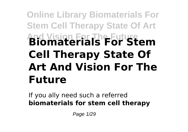# **Online Library Biomaterials For Stem Cell Therapy State Of Art And Vision For The Future Biomaterials For Stem Cell Therapy State Of Art And Vision For The Future**

If you ally need such a referred **biomaterials for stem cell therapy**

Page 1/29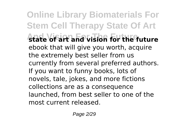**Online Library Biomaterials For Stem Cell Therapy State Of Art And Vision For The Future state of art and vision for the future** ebook that will give you worth, acquire the extremely best seller from us currently from several preferred authors. If you want to funny books, lots of novels, tale, jokes, and more fictions collections are as a consequence launched, from best seller to one of the most current released.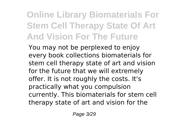# **Online Library Biomaterials For Stem Cell Therapy State Of Art And Vision For The Future**

You may not be perplexed to enjoy every book collections biomaterials for stem cell therapy state of art and vision for the future that we will extremely offer. It is not roughly the costs. It's practically what you compulsion currently. This biomaterials for stem cell therapy state of art and vision for the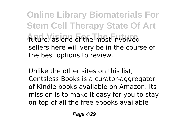**Online Library Biomaterials For Stem Cell Therapy State Of Art And Vision For The Future** future, as one of the most involved sellers here will very be in the course of the best options to review.

Unlike the other sites on this list, Centsless Books is a curator-aggregator of Kindle books available on Amazon. Its mission is to make it easy for you to stay on top of all the free ebooks available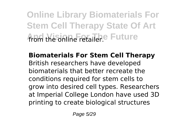**Online Library Biomaterials For Stem Cell Therapy State Of Art ADD** Misinine For The Future

**Biomaterials For Stem Cell Therapy** British researchers have developed biomaterials that better recreate the conditions required for stem cells to grow into desired cell types. Researchers at Imperial College London have used 3D printing to create biological structures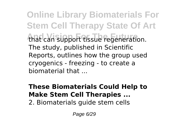**Online Library Biomaterials For Stem Cell Therapy State Of Art** that can support tissue regeneration. The study, published in Scientific Reports, outlines how the group used cryogenics - freezing - to create a biomaterial that ...

#### **These Biomaterials Could Help to Make Stem Cell Therapies ...**

2. Biomaterials guide stem cells

Page 6/29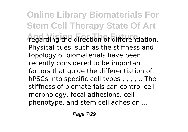**Online Library Biomaterials For Stem Cell Therapy State Of Art** *Tegarding the direction of differentiation.* Physical cues, such as the stiffness and topology of biomaterials have been recently considered to be important factors that guide the differentiation of hPSCs into specific cell types , , , , .. The stiffness of biomaterials can control cell morphology, focal adhesions, cell phenotype, and stem cell adhesion ...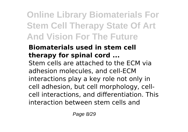# **Online Library Biomaterials For Stem Cell Therapy State Of Art And Vision For The Future**

# **Biomaterials used in stem cell therapy for spinal cord ...**

Stem cells are attached to the ECM via adhesion molecules, and cell-ECM interactions play a key role not only in cell adhesion, but cell morphology, cellcell interactions, and differentiation. This interaction between stem cells and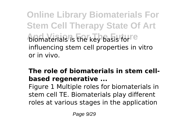**Online Library Biomaterials For Stem Cell Therapy State Of Art And Yields** is the key basis for <sup>reg</sup> influencing stem cell properties in vitro or in vivo.

# **The role of biomaterials in stem cellbased regenerative ...**

Figure 1 Multiple roles for biomaterials in stem cell TE. Biomaterials play different roles at various stages in the application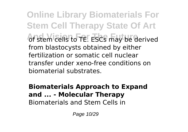**Online Library Biomaterials For Stem Cell Therapy State Of Art And Stem Cells to TE. ESCS may be derived** from blastocysts obtained by either fertilization or somatic cell nuclear transfer under xeno-free conditions on biomaterial substrates.

#### **Biomaterials Approach to Expand and ... - Molecular Therapy** Biomaterials and Stem Cells in

Page 10/29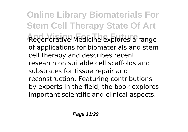**Online Library Biomaterials For Stem Cell Therapy State Of Art And Vision For The Future** Regenerative Medicine explores a range of applications for biomaterials and stem cell therapy and describes recent research on suitable cell scaffolds and substrates for tissue repair and reconstruction. Featuring contributions by experts in the field, the book explores important scientific and clinical aspects.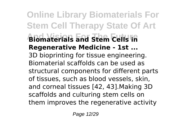**Online Library Biomaterials For Stem Cell Therapy State Of Art And Vision For The Future Biomaterials and Stem Cells in Regenerative Medicine - 1st ...** 3D bioprinting for tissue engineering. Biomaterial scaffolds can be used as structural components for different parts of tissues, such as blood vessels, skin, and corneal tissues [42, 43].Making 3D scaffolds and culturing stem cells on them improves the regenerative activity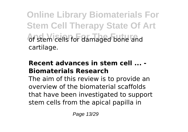**Online Library Biomaterials For Stem Cell Therapy State Of Art** of stem cells for damaged bone and cartilage.

#### **Recent advances in stem cell ... - Biomaterials Research**

The aim of this review is to provide an overview of the biomaterial scaffolds that have been investigated to support stem cells from the apical papilla in

Page 13/29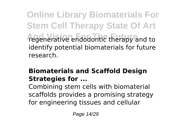**Online Library Biomaterials For Stem Cell Therapy State Of Art And Vision For The Future** regenerative endodontic therapy and to identify potential biomaterials for future research.

# **Biomaterials and Scaffold Design Strategies for ...**

Combining stem cells with biomaterial scaffolds provides a promising strategy for engineering tissues and cellular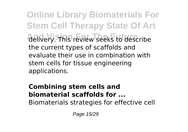**Online Library Biomaterials For Stem Cell Therapy State Of Art And Vision For The Future** delivery. This review seeks to describe the current types of scaffolds and evaluate their use in combination with stem cells for tissue engineering applications.

# **Combining stem cells and biomaterial scaffolds for ...**

Biomaterials strategies for effective cell

Page 15/29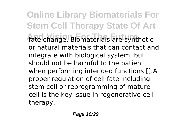**Online Library Biomaterials For Stem Cell Therapy State Of Art** fate change. Biomaterials are synthetic or natural materials that can contact and integrate with biological system, but should not be harmful to the patient when performing intended functions [].A proper regulation of cell fate including stem cell or reprogramming of mature cell is the key issue in regenerative cell therapy.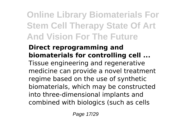# **Online Library Biomaterials For Stem Cell Therapy State Of Art And Vision For The Future**

#### **Direct reprogramming and biomaterials for controlling cell ...**

Tissue engineering and regenerative medicine can provide a novel treatment regime based on the use of synthetic biomaterials, which may be constructed into three-dimensional implants and combined with biologics (such as cells

Page 17/29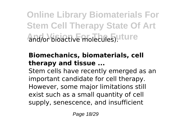**Online Library Biomaterials For Stem Cell Therapy State Of Art And Vision For The Future** and/or bioactive molecules).

# **Biomechanics, biomaterials, cell therapy and tissue ...**

Stem cells have recently emerged as an important candidate for cell therapy. However, some major limitations still exist such as a small quantity of cell supply, senescence, and insufficient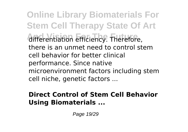**Online Library Biomaterials For Stem Cell Therapy State Of Art And And The Future And The Future** differentiation efficiency. Therefore, there is an unmet need to control stem cell behavior for better clinical performance. Since native microenvironment factors including stem cell niche, genetic factors ...

### **Direct Control of Stem Cell Behavior Using Biomaterials ...**

Page 19/29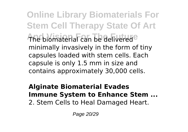**Online Library Biomaterials For Stem Cell Therapy State Of Art** The biomaterial can be delivered<sup>e</sup> minimally invasively in the form of tiny capsules loaded with stem cells. Each capsule is only 1.5 mm in size and contains approximately 30,000 cells.

#### **Alginate Biomaterial Evades Immune System to Enhance Stem ...** 2. Stem Cells to Heal Damaged Heart.

Page 20/29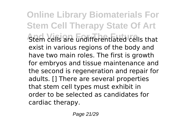**Online Library Biomaterials For Stem Cell Therapy State Of Art Atem cells are undifferentiated cells that** exist in various regions of the body and have two main roles. The first is growth for embryos and tissue maintenance and the second is regeneration and repair for adults. [] There are several properties that stem cell types must exhibit in order to be selected as candidates for cardiac therapy.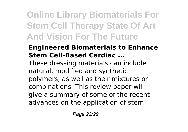# **Online Library Biomaterials For Stem Cell Therapy State Of Art And Vision For The Future**

# **Engineered Biomaterials to Enhance Stem Cell-Based Cardiac ...**

These dressing materials can include natural, modified and synthetic polymers, as well as their mixtures or combinations. This review paper will give a summary of some of the recent advances on the application of stem

Page 22/29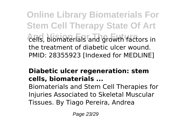**Online Library Biomaterials For Stem Cell Therapy State Of Art And Vision For The Future** cells, biomaterials and growth factors in the treatment of diabetic ulcer wound. PMID: 28355923 [Indexed for MEDLINE]

# **Diabetic ulcer regeneration: stem cells, biomaterials ...**

Biomaterials and Stem Cell Therapies for Injuries Associated to Skeletal Muscular Tissues. By Tiago Pereira, Andrea

Page 23/29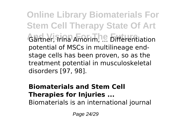**Online Library Biomaterials For Stem Cell Therapy State Of Art Gärtner, Trina Amorim, ... Differentiation** potential of MSCs in multilineage endstage cells has been proven, so as the treatment potential in musculoskeletal disorders [97, 98].

### **Biomaterials and Stem Cell Therapies for Injuries ...**

Biomaterials is an international journal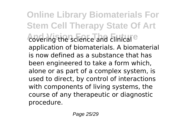**Online Library Biomaterials For Stem Cell Therapy State Of Art And Covering the science and clinical** e application of biomaterials. A biomaterial is now defined as a substance that has been engineered to take a form which, alone or as part of a complex system, is used to direct, by control of interactions with components of living systems, the course of any therapeutic or diagnostic procedure.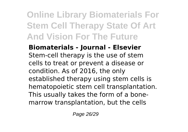# **Online Library Biomaterials For Stem Cell Therapy State Of Art And Vision For The Future**

**Biomaterials - Journal - Elsevier** Stem-cell therapy is the use of stem cells to treat or prevent a disease or condition. As of 2016, the only established therapy using stem cells is hematopoietic stem cell transplantation. This usually takes the form of a bonemarrow transplantation, but the cells

Page 26/29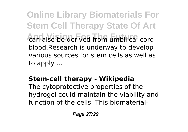**Online Library Biomaterials For Stem Cell Therapy State Of Art And Vision For The Future** can also be derived from umbilical cord blood.Research is underway to develop various sources for stem cells as well as to apply ...

# **Stem-cell therapy - Wikipedia**

The cytoprotective properties of the hydrogel could maintain the viability and function of the cells. This biomaterial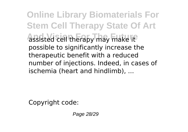**Online Library Biomaterials For Stem Cell Therapy State Of Art And Vision For The Future** assisted cell therapy may make it possible to significantly increase the therapeutic benefit with a reduced number of injections. Indeed, in cases of ischemia (heart and hindlimb), ...

Copyright code:

Page 28/29